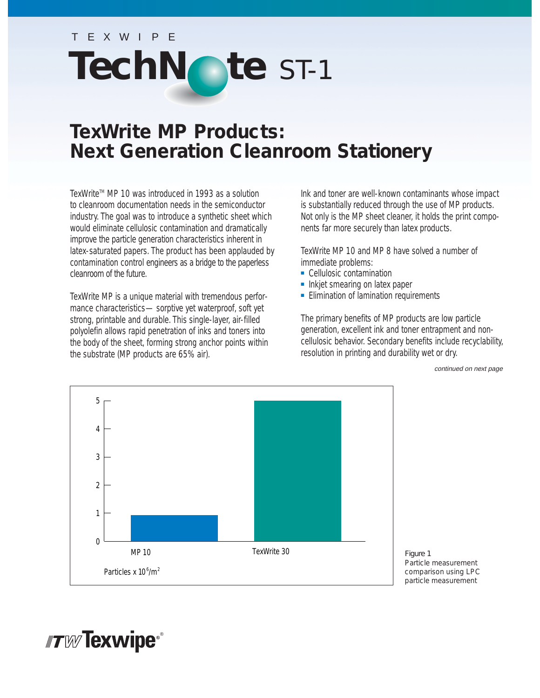# TEXWIPE TechNote ST-1

## **TexWrite MP Products: Next Generation Cleanroom Stationery**

TexWrite<sup> $M$ </sup> MP 10 was introduced in 1993 as a solution to cleanroom documentation needs in the semiconductor industry. The goal was to introduce a synthetic sheet which would eliminate cellulosic contamination and dramatically improve the particle generation characteristics inherent in latex-saturated papers. The product has been applauded by contamination control engineers as a bridge to the paperless cleanroom of the future.

TexWrite MP is a unique material with tremendous performance characteristics—sorptive yet waterproof, soft yet strong, printable and durable. This single-layer, air-filled polyolefin allows rapid penetration of inks and toners into the body of the sheet, forming strong anchor points within the substrate (MP products are 65% air).

Ink and toner are well-known contaminants whose impact is substantially reduced through the use of MP products. Not only is the MP sheet cleaner, it holds the print components far more securely than latex products.

TexWrite MP 10 and MP 8 have solved a number of immediate problems:

- Cellulosic contamination
- Inkjet smearing on latex paper
- Elimination of lamination requirements

The primary benefits of MP products are low particle generation, excellent ink and toner entrapment and noncellulosic behavior. Secondary benefits include recyclability, resolution in printing and durability wet or dry.

continued on next page



*Figure 1 Particle measurement comparison using LPC particle measurement*

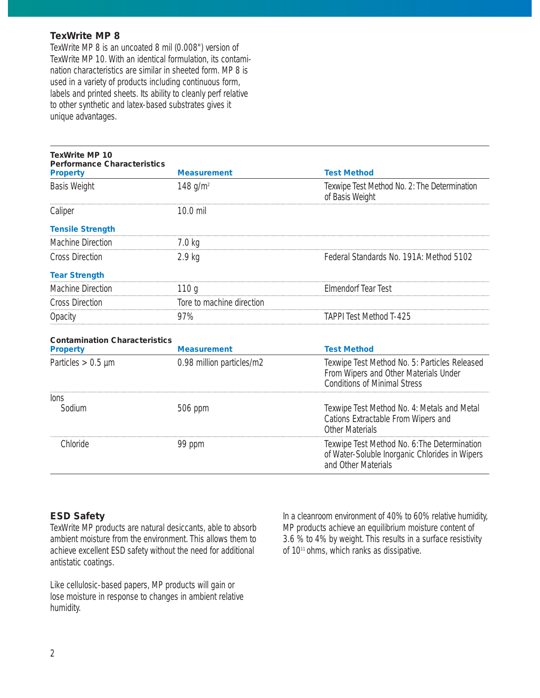#### **TexWrite MP 8**

TexWrite MP 8 is an uncoated 8 mil (0.008") version of TexWrite MP 10. With an identical formulation, its contamination characteristics are similar in sheeted form. MP 8 is used in a variety of products including continuous form, labels and printed sheets. Its ability to cleanly perf relative to other synthetic and latex-based substrates gives it unique advantages.

| <b>TexWrite MP 10</b><br><b>Performance Characteristics</b> |                           |                                                                                                                               |
|-------------------------------------------------------------|---------------------------|-------------------------------------------------------------------------------------------------------------------------------|
| <b>Property</b>                                             | <b>Measurement</b>        | <b>Test Method</b>                                                                                                            |
| <b>Basis Weight</b>                                         | 148 $g/m^2$               | Texwipe Test Method No. 2: The Determination<br>of Basis Weight                                                               |
| Caliper                                                     | 10.0 mil                  |                                                                                                                               |
| <b>Tensile Strength</b>                                     |                           |                                                                                                                               |
| <b>Machine Direction</b>                                    | $7.0 \text{ kg}$          |                                                                                                                               |
| <b>Cross Direction</b>                                      | 2.9 <sub>kg</sub>         | Federal Standards No. 191A: Method 5102                                                                                       |
| <b>Tear Strength</b>                                        |                           |                                                                                                                               |
| Machine Direction                                           | 110q                      | <b>Elmendorf Tear Test</b>                                                                                                    |
| <b>Cross Direction</b>                                      | Tore to machine direction |                                                                                                                               |
| Opacity                                                     | 97%                       | <b>TAPPI Test Method T-425</b>                                                                                                |
| <b>Contamination Characteristics</b>                        |                           |                                                                                                                               |
| <b>Property</b>                                             | <b>Measurement</b>        | <b>Test Method</b>                                                                                                            |
| Particles $> 0.5$ µm                                        | 0.98 million particles/m2 | Texwipe Test Method No. 5: Particles Released<br>From Wipers and Other Materials Under<br><b>Conditions of Minimal Stress</b> |
| lons                                                        |                           |                                                                                                                               |
| Sodium                                                      | 506 ppm                   | Texwipe Test Method No. 4: Metals and Metal<br>Cations Extractable From Wipers and<br><b>Other Materials</b>                  |
| Chloride                                                    | 99 ppm                    | Texwipe Test Method No. 6: The Determination<br>of Water-Soluble Inorganic Chlorides in Wipers<br>and Other Materials         |

#### **ESD Safety**

TexWrite MP products are natural desiccants, able to absorb ambient moisture from the environment. This allows them to achieve excellent ESD safety without the need for additional antistatic coatings.

Like cellulosic-based papers, MP products will gain or lose moisture in response to changes in ambient relative humidity.

In a cleanroom environment of 40% to 60% relative humidity, MP products achieve an equilibrium moisture content of 3.6 % to 4% by weight. This results in a surface resistivity of 10<sup>11</sup> ohms, which ranks as dissipative.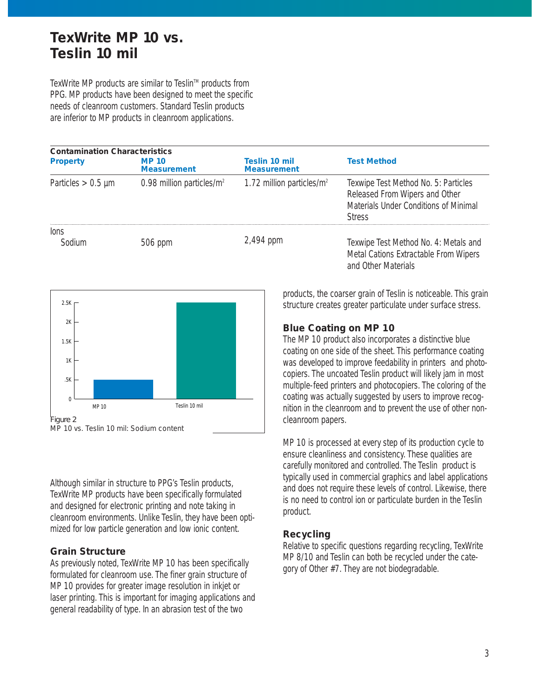## **TexWrite MP 10 vs. Teslin 10 mil**

TexWrite MP products are similar to Teslin™ products from PPG. MP products have been designed to meet the specific needs of cleanroom customers. Standard Teslin products are inferior to MP products in cleanroom applications.

| <b>Contamination Characteristics</b> |                                    |                                     |                                                                                                                                  |  |
|--------------------------------------|------------------------------------|-------------------------------------|----------------------------------------------------------------------------------------------------------------------------------|--|
| <b>Property</b>                      | <b>MP 10</b><br><b>Measurement</b> | Teslin 10 mil<br><b>Measurement</b> | <b>Test Method</b>                                                                                                               |  |
| Particles $> 0.5$ µm                 | 0.98 million particles/ $m^2$      | 1.72 million particles/ $m2$        | Texwipe Test Method No. 5: Particles<br>Released From Wipers and Other<br>Materials Under Conditions of Minimal<br><b>Stress</b> |  |
| lons<br>Sodium                       | 506 ppm                            | 2,494 ppm                           | Texwipe Test Method No. 4: Metals and<br>Metal Cations Extractable From Wipers<br>and Other Materials                            |  |



Although similar in structure to PPG's Teslin products, TexWrite MP products have been specifically formulated and designed for electronic printing and note taking in cleanroom environments. Unlike Teslin, they have been optimized for low particle generation and low ionic content.

#### **Grain Structure**

As previously noted, TexWrite MP 10 has been specifically formulated for cleanroom use. The finer grain structure of MP 10 provides for greater image resolution in inkjet or laser printing. This is important for imaging applications and general readability of type. In an abrasion test of the two

products, the coarser grain of Teslin is noticeable. This grain structure creates greater particulate under surface stress.

#### **Blue Coating on MP 10**

The MP 10 product also incorporates a distinctive blue coating on one side of the sheet. This performance coating was developed to improve feedability in printers and photocopiers. The uncoated Teslin product will likely jam in most multiple-feed printers and photocopiers. The coloring of the coating was actually suggested by users to improve recognition in the cleanroom and to prevent the use of other noncleanroom papers.

MP 10 is processed at every step of its production cycle to ensure cleanliness and consistency. These qualities are carefully monitored and controlled. The Teslin product is typically used in commercial graphics and label applications and does not require these levels of control. Likewise, there is no need to control ion or particulate burden in the Teslin product.

#### **Recycling**

Relative to specific questions regarding recycling, TexWrite MP 8/10 and Teslin can both be recycled under the category of Other #7. They are not biodegradable.